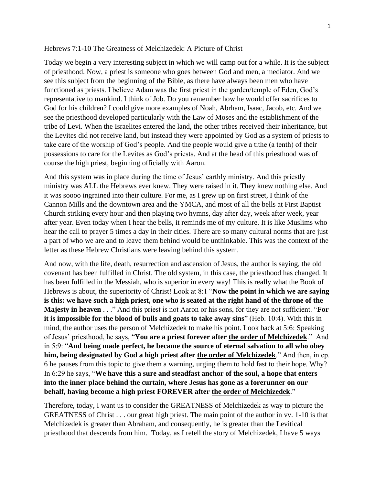## Hebrews 7:1-10 The Greatness of Melchizedek: A Picture of Christ

Today we begin a very interesting subject in which we will camp out for a while. It is the subject of priesthood. Now, a priest is someone who goes between God and men, a mediator. And we see this subject from the beginning of the Bible, as there have always been men who have functioned as priests. I believe Adam was the first priest in the garden/temple of Eden, God's representative to mankind. I think of Job. Do you remember how he would offer sacrifices to God for his children? I could give more examples of Noah, Abrham, Isaac, Jacob, etc. And we see the priesthood developed particularly with the Law of Moses and the establishment of the tribe of Levi. When the Israelites entered the land, the other tribes received their inheritance, but the Levites did not receive land, but instead they were appointed by God as a system of priests to take care of the worship of God's people. And the people would give a tithe (a tenth) of their possessions to care for the Levites as God's priests. And at the head of this priesthood was of course the high priest, beginning officially with Aaron.

And this system was in place during the time of Jesus' earthly ministry. And this priestly ministry was ALL the Hebrews ever knew. They were raised in it. They knew nothing else. And it was soooo ingrained into their culture. For me, as I grew up on first street, I think of the Cannon Mills and the downtown area and the YMCA, and most of all the bells at First Baptist Church striking every hour and then playing two hymns, day after day, week after week, year after year. Even today when I hear the bells, it reminds me of my culture. It is like Muslims who hear the call to prayer 5 times a day in their cities. There are so many cultural norms that are just a part of who we are and to leave them behind would be unthinkable. This was the context of the letter as these Hebrew Christians were leaving behind this system.

And now, with the life, death, resurrection and ascension of Jesus, the author is saying, the old covenant has been fulfilled in Christ. The old system, in this case, the priesthood has changed. It has been fulfilled in the Messiah, who is superior in every way! This is really what the Book of Hebrews is about, the superiority of Christ! Look at 8:1 "**Now the point in which we are saying is this: we have such a high priest, one who is seated at the right hand of the throne of the Majesty in heaven** . . ." And this priest is not Aaron or his sons, for they are not sufficient. "**For it is impossible for the blood of bulls and goats to take away sins**" (Heb. 10:4). With this in mind, the author uses the person of Melchizedek to make his point. Look back at 5:6: Speaking of Jesus' priesthood, he says, "**You are a priest forever after the order of Melchizedek**." And in 5:9: "**And being made perfect, he became the source of eternal salvation to all who obey him, being designated by God a high priest after the order of Melchizedek**." And then, in cp. 6 he pauses from this topic to give them a warning, urging them to hold fast to their hope. Why? In 6:29 he says, "**We have this a sure and steadfast anchor of the soul, a hope that enters into the inner place behind the curtain, where Jesus has gone as a forerunner on our behalf, having become a high priest FOREVER after the order of Melchizedek**."

Therefore, today, I want us to consider the GREATNESS of Melchizedek as way to picture the GREATNESS of Christ . . . our great high priest. The main point of the author in vv. 1-10 is that Melchizedek is greater than Abraham, and consequently, he is greater than the Levitical priesthood that descends from him. Today, as I retell the story of Melchizedek, I have 5 ways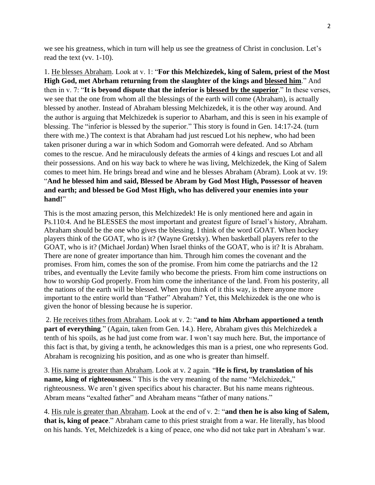we see his greatness, which in turn will help us see the greatness of Christ in conclusion. Let's read the text (vv. 1-10).

1. He blesses Abraham. Look at v. 1: "**For this Melchizedek, king of Salem, priest of the Most High God, met Abrham returning from the slaughter of the kings and blessed him**." And then in v. 7: "**It is beyond dispute that the inferior is blessed by the superior**." In these verses, we see that the one from whom all the blessings of the earth will come (Abraham), is actually blessed by another. Instead of Abraham blessing Melchizedek, it is the other way around. And the author is arguing that Melchizedek is superior to Abarham, and this is seen in his example of blessing. The "inferior is blessed by the superior." This story is found in Gen. 14:17-24. (turn there with me.) The context is that Abraham had just rescued Lot his nephew, who had been taken prisoner during a war in which Sodom and Gomorrah were defeated. And so Abrham comes to the rescue. And he miraculously defeats the armies of 4 kings and rescues Lot and all their possessions. And on his way back to where he was living, Melchizedek, the King of Salem comes to meet him. He brings bread and wine and he blesses Abraham (Abram). Look at vv. 19: "**And he blessed him and said, Blessed be Abram by God Most High, Possessor of heaven and earth; and blessed be God Most High, who has delivered your enemies into your hand!**"

This is the most amazing person, this Melchizedek! He is only mentioned here and again in Ps.110:4. And he BLESSES the most important and greatest figure of Israel's history, Abraham. Abraham should be the one who gives the blessing. I think of the word GOAT. When hockey players think of the GOAT, who is it? (Wayne Gretsky). When basketball players refer to the GOAT, who is it? (Michael Jordan) When Israel thinks of the GOAT, who is it? It is Abraham. There are none of greater importance than him. Through him comes the covenant and the promises. From him, comes the son of the promise. From him come the patriarchs and the 12 tribes, and eventually the Levite family who become the priests. From him come instructions on how to worship God properly. From him come the inheritance of the land. From his posterity, all the nations of the earth will be blessed. When you think of it this way, is there anyone more important to the entire world than "Father" Abraham? Yet, this Melchizedek is the one who is given the honor of blessing because he is superior.

2. He receives tithes from Abraham. Look at v. 2: "**and to him Abrham apportioned a tenth part of everything**." (Again, taken from Gen. 14.). Here, Abraham gives this Melchizedek a tenth of his spoils, as he had just come from war. I won't say much here. But, the importance of this fact is that, by giving a tenth, he acknowledges this man is a priest, one who represents God. Abraham is recognizing his position, and as one who is greater than himself.

3. His name is greater than Abraham. Look at v. 2 again. "**He is first, by translation of his name, king of righteousness**." This is the very meaning of the name "Melchizedek," righteousness. We aren't given specifics about his character. But his name means righteous. Abram means "exalted father" and Abraham means "father of many nations."

4. His rule is greater than Abraham. Look at the end of v. 2: "**and then he is also king of Salem, that is, king of peace**." Abraham came to this priest straight from a war. He literally, has blood on his hands. Yet, Melchizedek is a king of peace, one who did not take part in Abraham's war.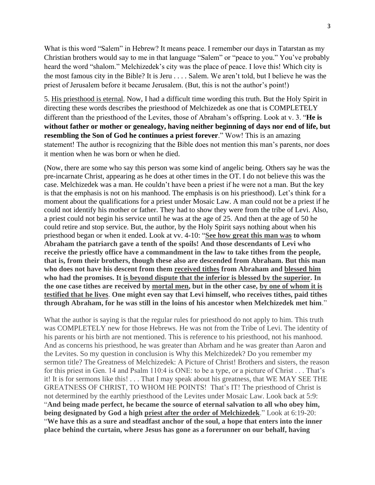What is this word "Salem" in Hebrew? It means peace. I remember our days in Tatarstan as my Christian brothers would say to me in that language "Salem" or "peace to you." You've probably heard the word "shalom." Melchizedek's city was the place of peace. I love this! Which city is the most famous city in the Bible? It is Jeru . . . . Salem. We aren't told, but I believe he was the priest of Jerusalem before it became Jerusalem. (But, this is not the author's point!)

5. His priesthood is eternal. Now, I had a difficult time wording this truth. But the Holy Spirit in directing these words describes the priesthood of Melchizedek as one that is COMPLETELY different than the priesthood of the Levites, those of Abraham's offspring. Look at v. 3. "**He is without father or mother or genealogy, having neither beginning of days nor end of life, but resembling the Son of God he continues a priest forever**." Wow! This is an amazing statement! The author is recognizing that the Bible does not mention this man's parents, nor does it mention when he was born or when he died.

(Now, there are some who say this person was some kind of angelic being. Others say he was the pre-incarnate Christ, appearing as he does at other times in the OT. I do not believe this was the case. Melchizedek was a man. He couldn't have been a priest if he were not a man. But the key is that the emphasis is not on his manhood. The emphasis is on his priesthood). Let's think for a moment about the qualifications for a priest under Mosaic Law. A man could not be a priest if he could not identify his mother or father. They had to show they were from the tribe of Levi. Also, a priest could not begin his service until he was at the age of 25. And then at the age of 50 he could retire and stop service. But, the author, by the Holy Spirit says nothing about when his priesthood began or when it ended. Look at vv. 4-10: "**See how great this man was to whom Abraham the patriarch gave a tenth of the spoils! And those descendants of Levi who receive the priestly office have a commandment in the law to take tithes from the people, that is, from their brothers, though these also are descended from Abraham. But this man who does not have his descent from them received tithes from Abraham and blessed him who had the promises. It is beyond dispute that the inferior is blessed by the superior. In the one case tithes are received by mortal men, but in the other case, by one of whom it is testified that he lives**. **One might even say that Levi himself, who receives tithes, paid tithes through Abraham, for he was still in the loins of his ancestor when Melchizedek met him**."

What the author is saying is that the regular rules for priesthood do not apply to him. This truth was COMPLETELY new for those Hebrews. He was not from the Tribe of Levi. The identity of his parents or his birth are not mentioned. This is reference to his priesthood, not his manhood. And as concerns his priesthood, he was greater than Abrham and he was greater than Aaron and the Levites. So my question in conclusion is Why this Melchizedek? Do you remember my sermon title? The Greatness of Melchizedek: A Picture of Christ! Brothers and sisters, the reason for this priest in Gen. 14 and Psalm 110:4 is ONE: to be a type, or a picture of Christ . . . That's it! It is for sermons like this! . . . That I may speak about his greatness, that WE MAY SEE THE GREATNESS OF CHRIST, TO WHOM HE POINTS! That's IT! The priesthood of Christ is not determined by the earthly priesthood of the Levites under Mosaic Law. Look back at 5:9: "**And being made perfect, he became the source of eternal salvation to all who obey him, being designated by God a high priest after the order of Melchizedek**." Look at 6:19-20: "**We have this as a sure and steadfast anchor of the soul, a hope that enters into the inner place behind the curtain, where Jesus has gone as a forerunner on our behalf, having**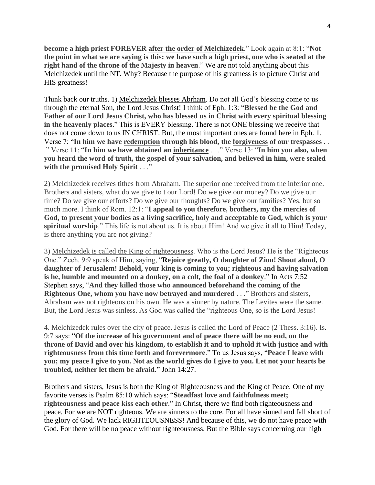**become a high priest FOREVER after the order of Melchizedek**." Look again at 8:1: "**Not the point in what we are saying is this: we have such a high priest, one who is seated at the right hand of the throne of the Majesty in heaven**." We are not told anything about this Melchizedek until the NT. Why? Because the purpose of his greatness is to picture Christ and HIS greatness!

Think back our truths. 1) Melchizedek blesses Abrham. Do not all God's blessing come to us through the eternal Son, the Lord Jesus Christ! I think of Eph. 1:3: "**Blessed be the God and Father of our Lord Jesus Christ, who has blessed us in Christ with every spiritual blessing in the heavenly places**." This is EVERY blessing. There is not ONE blessing we receive that does not come down to us IN CHRIST. But, the most important ones are found here in Eph. 1. Verse 7: "**In him we have redemption through his blood, the forgiveness of our trespasses** . . ." Verse 11: "**In him we have obtained an inheritance** . . ." Verse 13: "**In him you also, when you heard the word of truth, the gospel of your salvation, and believed in him, were sealed with the promised Holy Spirit** . . ."

2) Melchizedek receives tithes from Abraham. The superior one received from the inferior one. Brothers and sisters, what do we give to t our Lord! Do we give our money? Do we give our time? Do we give our efforts? Do we give our thoughts? Do we give our families? Yes, but so much more. I think of Rom. 12:1: "**I appeal to you therefore, brothers, my the mercies of God, to present your bodies as a living sacrifice, holy and acceptable to God, which is your spiritual worship**." This life is not about us. It is about Him! And we give it all to Him! Today, is there anything you are not giving?

3) Melchizedek is called the King of righteousness. Who is the Lord Jesus? He is the "Righteous One." Zech. 9:9 speak of Him, saying, "**Rejoice greatly, O daughter of Zion! Shout aloud, O daughter of Jerusalem! Behold, your king is coming to you; righteous and having salvation is he, humble and mounted on a donkey, on a colt, the foal of a donkey**." In Acts 7:52 Stephen says, "**And they killed those who announced beforehand the coming of the Righteous One, whom you have now betrayed and murdered** . . ." Brothers and sisters, Abraham was not righteous on his own. He was a sinner by nature. The Levites were the same. But, the Lord Jesus was sinless. As God was called the "righteous One, so is the Lord Jesus!

4. Melchizedek rules over the city of peace. Jesus is called the Lord of Peace (2 Thess. 3:16). Is. 9:7 says: "**Of the increase of his government and of peace there will be no end, on the throne of David and over his kingdom, to establish it and to uphold it with justice and with righteousness from this time forth and forevermore**." To us Jesus says, "**Peace I leave with you; my peace I give to you. Not as the world gives do I give to you. Let not your hearts be troubled, neither let them be afraid**." John 14:27.

Brothers and sisters, Jesus is both the King of Righteousness and the King of Peace. One of my favorite verses is Psalm 85:10 which says: "**Steadfast love and faithfulness meet; righteousness and peace kiss each other**." In Christ, there we find both righteousness and peace. For we are NOT righteous. We are sinners to the core. For all have sinned and fall short of the glory of God. We lack RIGHTEOUSNESS! And because of this, we do not have peace with God. For there will be no peace without righteousness. But the Bible says concerning our high